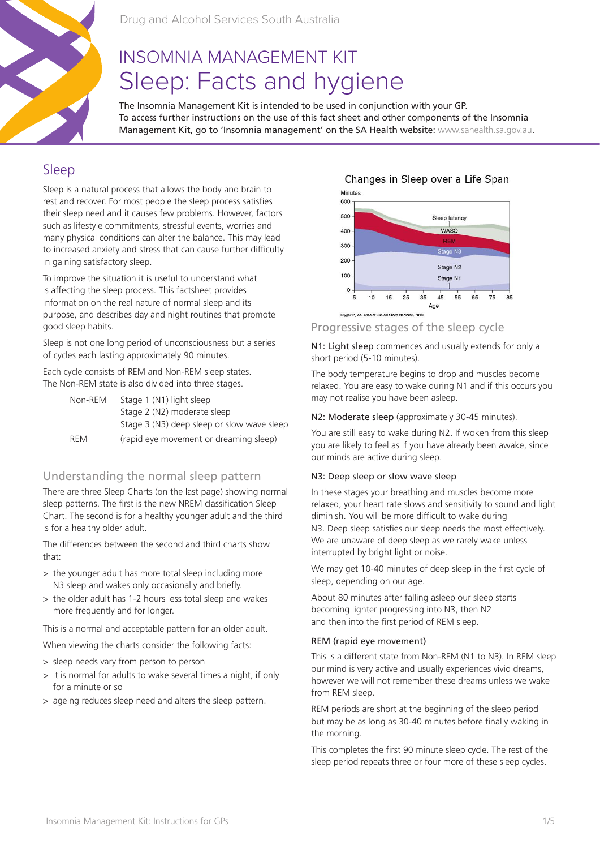

Drug and Alcohol Services South Australia

# INSOMNIA MANAGEMENT KIT Sleep: Facts and hygiene

The Insomnia Management Kit is intended to be used in conjunction with your GP. To access further instructions on the use of this fact sheet and other components of the Insomnia Management Kit, go to 'Insomnia management' on the SA Health website: www.sahealth.sa.gov.au.

## Sleep

Sleep is a natural process that allows the body and brain to rest and recover. For most people the sleep process satisfies their sleep need and it causes few problems. However, factors such as lifestyle commitments, stressful events, worries and many physical conditions can alter the balance. This may lead to increased anxiety and stress that can cause further difficulty in gaining satisfactory sleep.

To improve the situation it is useful to understand what is affecting the sleep process. This factsheet provides information on the real nature of normal sleep and its purpose, and describes day and night routines that promote good sleep habits.

Sleep is not one long period of unconsciousness but a series of cycles each lasting approximately 90 minutes.

Each cycle consists of REM and Non-REM sleep states. The Non-REM state is also divided into three stages.

| Non-REM    | Stage 1 (N1) light sleep                   |
|------------|--------------------------------------------|
|            | Stage 2 (N2) moderate sleep                |
|            | Stage 3 (N3) deep sleep or slow wave sleep |
| <b>RFM</b> | (rapid eye movement or dreaming sleep)     |

## Understanding the normal sleep pattern

There are three Sleep Charts (on the last page) showing normal sleep patterns. The first is the new NREM classification Sleep Chart. The second is for a healthy younger adult and the third is for a healthy older adult.

The differences between the second and third charts show that:

- > the younger adult has more total sleep including more N3 sleep and wakes only occasionally and briefly.
- > the older adult has 1-2 hours less total sleep and wakes more frequently and for longer.

This is a normal and acceptable pattern for an older adult.

When viewing the charts consider the following facts:

- > sleep needs vary from person to person
- > it is normal for adults to wake several times a night, if only for a minute or so
- > ageing reduces sleep need and alters the sleep pattern.

## Changes in Sleep over a Life Span



## Progressive stages of the sleep cycle

N1: Light sleep commences and usually extends for only a short period (5-10 minutes).

The body temperature begins to drop and muscles become relaxed. You are easy to wake during N1 and if this occurs you may not realise you have been asleep.

#### N2: Moderate sleep (approximately 30-45 minutes).

You are still easy to wake during N2. If woken from this sleep you are likely to feel as if you have already been awake, since our minds are active during sleep.

#### N3: Deep sleep or slow wave sleep

In these stages your breathing and muscles become more relaxed, your heart rate slows and sensitivity to sound and light diminish. You will be more difficult to wake during N3. Deep sleep satisfies our sleep needs the most effectively. We are unaware of deep sleep as we rarely wake unless interrupted by bright light or noise.

We may get 10-40 minutes of deep sleep in the first cycle of sleep, depending on our age.

About 80 minutes after falling asleep our sleep starts becoming lighter progressing into N3, then N2 and then into the first period of REM sleep.

#### REM (rapid eye movement)

This is a different state from Non-REM (N1 to N3). In REM sleep our mind is very active and usually experiences vivid dreams, however we will not remember these dreams unless we wake from REM sleep.

REM periods are short at the beginning of the sleep period but may be as long as 30-40 minutes before finally waking in the morning.

This completes the first 90 minute sleep cycle. The rest of the sleep period repeats three or four more of these sleep cycles.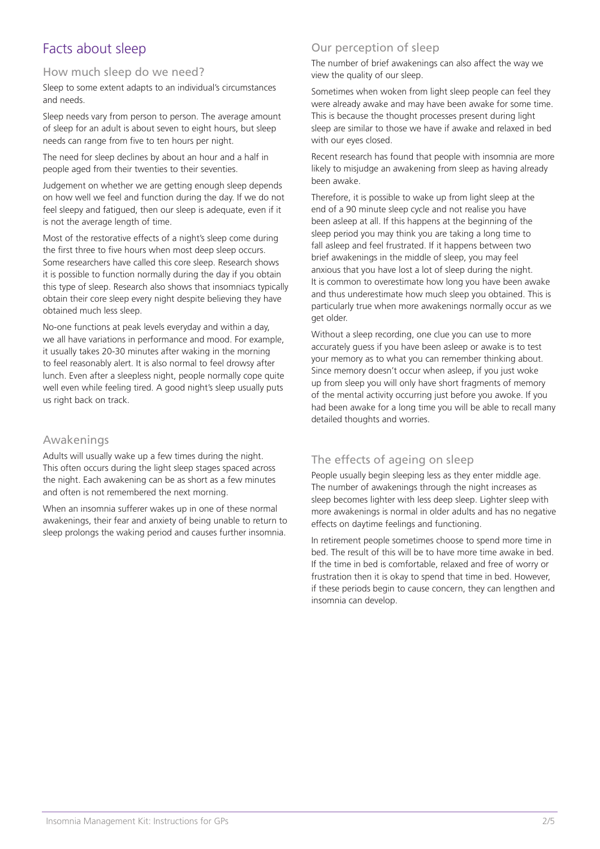## Facts about sleep

### How much sleep do we need?

Sleep to some extent adapts to an individual's circumstances and needs.

Sleep needs vary from person to person. The average amount of sleep for an adult is about seven to eight hours, but sleep needs can range from five to ten hours per night.

The need for sleep declines by about an hour and a half in people aged from their twenties to their seventies.

Judgement on whether we are getting enough sleep depends on how well we feel and function during the day. If we do not feel sleepy and fatigued, then our sleep is adequate, even if it is not the average length of time.

Most of the restorative effects of a night's sleep come during the first three to five hours when most deep sleep occurs. Some researchers have called this core sleep. Research shows it is possible to function normally during the day if you obtain this type of sleep. Research also shows that insomniacs typically obtain their core sleep every night despite believing they have obtained much less sleep.

No-one functions at peak levels everyday and within a day, we all have variations in performance and mood. For example, it usually takes 20-30 minutes after waking in the morning to feel reasonably alert. It is also normal to feel drowsy after lunch. Even after a sleepless night, people normally cope quite well even while feeling tired. A good night's sleep usually puts us right back on track.

### Awakenings

Adults will usually wake up a few times during the night. This often occurs during the light sleep stages spaced across the night. Each awakening can be as short as a few minutes and often is not remembered the next morning.

When an insomnia sufferer wakes up in one of these normal awakenings, their fear and anxiety of being unable to return to sleep prolongs the waking period and causes further insomnia.

## Our perception of sleep

The number of brief awakenings can also affect the way we view the quality of our sleep.

Sometimes when woken from light sleep people can feel they were already awake and may have been awake for some time. This is because the thought processes present during light sleep are similar to those we have if awake and relaxed in bed with our eyes closed.

Recent research has found that people with insomnia are more likely to misjudge an awakening from sleep as having already been awake.

Therefore, it is possible to wake up from light sleep at the end of a 90 minute sleep cycle and not realise you have been asleep at all. If this happens at the beginning of the sleep period you may think you are taking a long time to fall asleep and feel frustrated. If it happens between two brief awakenings in the middle of sleep, you may feel anxious that you have lost a lot of sleep during the night. It is common to overestimate how long you have been awake and thus underestimate how much sleep you obtained. This is particularly true when more awakenings normally occur as we get older.

Without a sleep recording, one clue you can use to more accurately guess if you have been asleep or awake is to test your memory as to what you can remember thinking about. Since memory doesn't occur when asleep, if you just woke up from sleep you will only have short fragments of memory of the mental activity occurring just before you awoke. If you had been awake for a long time you will be able to recall many detailed thoughts and worries.

## The effects of ageing on sleep

People usually begin sleeping less as they enter middle age. The number of awakenings through the night increases as sleep becomes lighter with less deep sleep. Lighter sleep with more awakenings is normal in older adults and has no negative effects on daytime feelings and functioning.

In retirement people sometimes choose to spend more time in bed. The result of this will be to have more time awake in bed. If the time in bed is comfortable, relaxed and free of worry or frustration then it is okay to spend that time in bed. However, if these periods begin to cause concern, they can lengthen and insomnia can develop.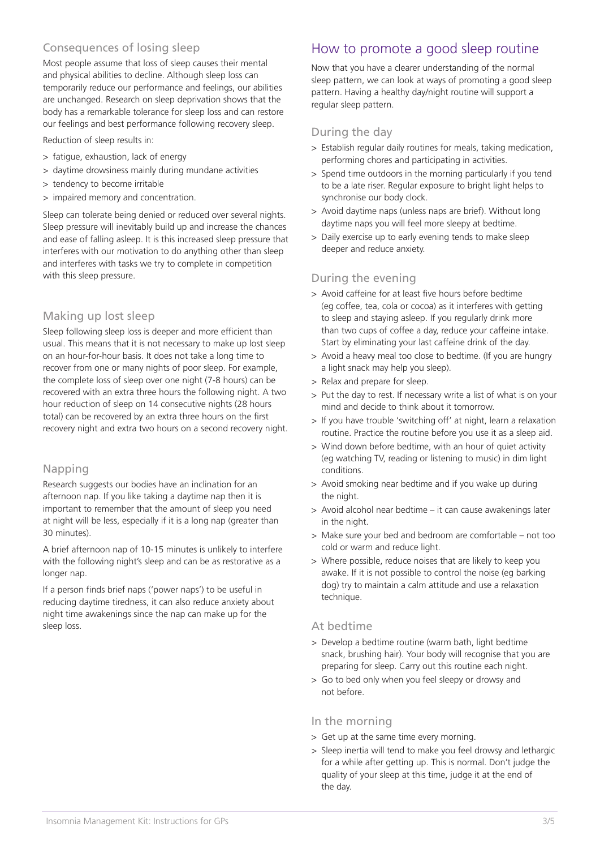## Consequences of losing sleep

Most people assume that loss of sleep causes their mental and physical abilities to decline. Although sleep loss can temporarily reduce our performance and feelings, our abilities are unchanged. Research on sleep deprivation shows that the body has a remarkable tolerance for sleep loss and can restore our feelings and best performance following recovery sleep.

Reduction of sleep results in:

- > fatigue, exhaustion, lack of energy
- > daytime drowsiness mainly during mundane activities
- > tendency to become irritable
- > impaired memory and concentration.

Sleep can tolerate being denied or reduced over several nights. Sleep pressure will inevitably build up and increase the chances and ease of falling asleep. It is this increased sleep pressure that interferes with our motivation to do anything other than sleep and interferes with tasks we try to complete in competition with this sleep pressure.

#### Making up lost sleep

Sleep following sleep loss is deeper and more efficient than usual. This means that it is not necessary to make up lost sleep on an hour-for-hour basis. It does not take a long time to recover from one or many nights of poor sleep. For example, the complete loss of sleep over one night (7-8 hours) can be recovered with an extra three hours the following night. A two hour reduction of sleep on 14 consecutive nights (28 hours total) can be recovered by an extra three hours on the first recovery night and extra two hours on a second recovery night.

### Napping

Research suggests our bodies have an inclination for an afternoon nap. If you like taking a daytime nap then it is important to remember that the amount of sleep you need at night will be less, especially if it is a long nap (greater than 30 minutes).

A brief afternoon nap of 10-15 minutes is unlikely to interfere with the following night's sleep and can be as restorative as a longer nap.

If a person finds brief naps ('power naps') to be useful in reducing daytime tiredness, it can also reduce anxiety about night time awakenings since the nap can make up for the sleep loss.

## How to promote a good sleep routine

Now that you have a clearer understanding of the normal sleep pattern, we can look at ways of promoting a good sleep pattern. Having a healthy day/night routine will support a regular sleep pattern.

### During the day

- > Establish regular daily routines for meals, taking medication, performing chores and participating in activities.
- > Spend time outdoors in the morning particularly if you tend to be a late riser. Regular exposure to bright light helps to synchronise our body clock.
- > Avoid daytime naps (unless naps are brief). Without long daytime naps you will feel more sleepy at bedtime.
- > Daily exercise up to early evening tends to make sleep deeper and reduce anxiety.

### During the evening

- > Avoid caffeine for at least five hours before bedtime (eg coffee, tea, cola or cocoa) as it interferes with getting to sleep and staying asleep. If you regularly drink more than two cups of coffee a day, reduce your caffeine intake. Start by eliminating your last caffeine drink of the day.
- > Avoid a heavy meal too close to bedtime. (If you are hungry a light snack may help you sleep).
- > Relax and prepare for sleep.
- > Put the day to rest. If necessary write a list of what is on your mind and decide to think about it tomorrow.
- > If you have trouble 'switching off' at night, learn a relaxation routine. Practice the routine before you use it as a sleep aid.
- > Wind down before bedtime, with an hour of quiet activity (eg watching TV, reading or listening to music) in dim light conditions.
- > Avoid smoking near bedtime and if you wake up during the night.
- > Avoid alcohol near bedtime it can cause awakenings later in the night.
- > Make sure your bed and bedroom are comfortable not too cold or warm and reduce light.
- > Where possible, reduce noises that are likely to keep you awake. If it is not possible to control the noise (eg barking dog) try to maintain a calm attitude and use a relaxation technique.

#### At bedtime

- > Develop a bedtime routine (warm bath, light bedtime snack, brushing hair). Your body will recognise that you are preparing for sleep. Carry out this routine each night.
- > Go to bed only when you feel sleepy or drowsy and not before.

### In the morning

- > Get up at the same time every morning.
- > Sleep inertia will tend to make you feel drowsy and lethargic for a while after getting up. This is normal. Don't judge the quality of your sleep at this time, judge it at the end of the day.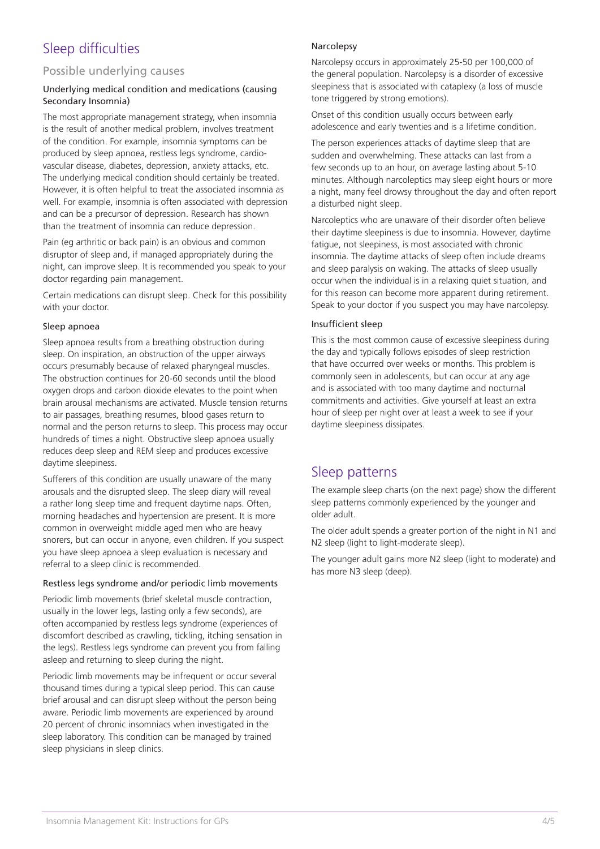## Sleep difficulties

### Possible underlying causes

#### Underlying medical condition and medications (causing Secondary Insomnia)

The most appropriate management strategy, when insomnia is the result of another medical problem, involves treatment of the condition. For example, insomnia symptoms can be produced by sleep apnoea, restless legs syndrome, cardiovascular disease, diabetes, depression, anxiety attacks, etc. The underlying medical condition should certainly be treated. However, it is often helpful to treat the associated insomnia as well. For example, insomnia is often associated with depression and can be a precursor of depression. Research has shown than the treatment of insomnia can reduce depression.

Pain (eg arthritic or back pain) is an obvious and common disruptor of sleep and, if managed appropriately during the night, can improve sleep. It is recommended you speak to your doctor regarding pain management.

Certain medications can disrupt sleep. Check for this possibility with your doctor.

#### Sleep apnoea

Sleep apnoea results from a breathing obstruction during sleep. On inspiration, an obstruction of the upper airways occurs presumably because of relaxed pharyngeal muscles. The obstruction continues for 20-60 seconds until the blood oxygen drops and carbon dioxide elevates to the point when brain arousal mechanisms are activated. Muscle tension returns to air passages, breathing resumes, blood gases return to normal and the person returns to sleep. This process may occur hundreds of times a night. Obstructive sleep apnoea usually reduces deep sleep and REM sleep and produces excessive daytime sleepiness.

Sufferers of this condition are usually unaware of the many arousals and the disrupted sleep. The sleep diary will reveal a rather long sleep time and frequent daytime naps. Often, morning headaches and hypertension are present. It is more common in overweight middle aged men who are heavy snorers, but can occur in anyone, even children. If you suspect you have sleep apnoea a sleep evaluation is necessary and referral to a sleep clinic is recommended.

#### Restless legs syndrome and/or periodic limb movements

Periodic limb movements (brief skeletal muscle contraction, usually in the lower legs, lasting only a few seconds), are often accompanied by restless legs syndrome (experiences of discomfort described as crawling, tickling, itching sensation in the legs). Restless legs syndrome can prevent you from falling asleep and returning to sleep during the night.

Periodic limb movements may be infrequent or occur several thousand times during a typical sleep period. This can cause brief arousal and can disrupt sleep without the person being aware. Periodic limb movements are experienced by around 20 percent of chronic insomniacs when investigated in the sleep laboratory. This condition can be managed by trained sleep physicians in sleep clinics.

#### Narcolepsy

Narcolepsy occurs in approximately 25-50 per 100,000 of the general population. Narcolepsy is a disorder of excessive sleepiness that is associated with cataplexy (a loss of muscle tone triggered by strong emotions).

Onset of this condition usually occurs between early adolescence and early twenties and is a lifetime condition.

The person experiences attacks of daytime sleep that are sudden and overwhelming. These attacks can last from a few seconds up to an hour, on average lasting about 5-10 minutes. Although narcoleptics may sleep eight hours or more a night, many feel drowsy throughout the day and often report a disturbed night sleep.

Narcoleptics who are unaware of their disorder often believe their daytime sleepiness is due to insomnia. However, daytime fatigue, not sleepiness, is most associated with chronic insomnia. The daytime attacks of sleep often include dreams and sleep paralysis on waking. The attacks of sleep usually occur when the individual is in a relaxing quiet situation, and for this reason can become more apparent during retirement. Speak to your doctor if you suspect you may have narcolepsy.

#### Insufficient sleep

This is the most common cause of excessive sleepiness during the day and typically follows episodes of sleep restriction that have occurred over weeks or months. This problem is commonly seen in adolescents, but can occur at any age and is associated with too many daytime and nocturnal commitments and activities. Give yourself at least an extra hour of sleep per night over at least a week to see if your daytime sleepiness dissipates.

## Sleep patterns

The example sleep charts (on the next page) show the different sleep patterns commonly experienced by the younger and older adult.

The older adult spends a greater portion of the night in N1 and N2 sleep (light to light-moderate sleep).

The younger adult gains more N2 sleep (light to moderate) and has more N3 sleep (deep).